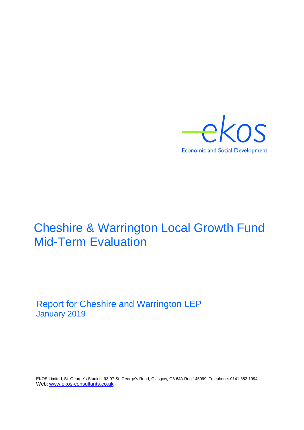

# Cheshire & Warrington Local Growth Fund Mid-Term Evaluation

Report for Cheshire and Warrington LEP January 2019

EKOS Limited, St. George's Studios, 93-97 St. George's Road, Glasgow, G3 6JA Reg 145099 Telephone: 0141 353 1994 Web: [www.ekos-consultants.co.uk](http://www.ekos-consultants.co.uk/)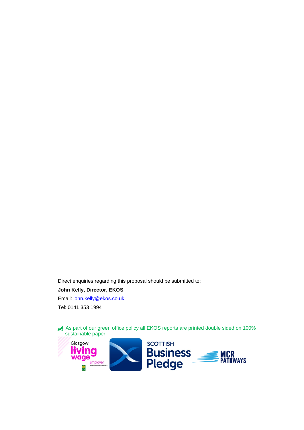Direct enquiries regarding this proposal should be submitted to:

#### **John Kelly, Director, EKOS**

Email: [john.kelly@ekos.co.uk](mailto:john.kelly@ekos.co.uk) Tel: 0141 353 1994

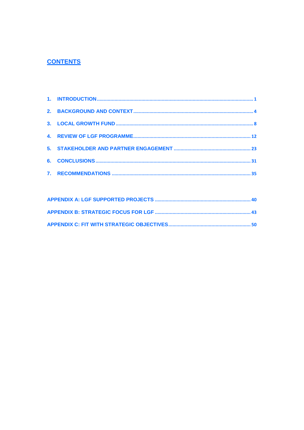#### **CONTENTS**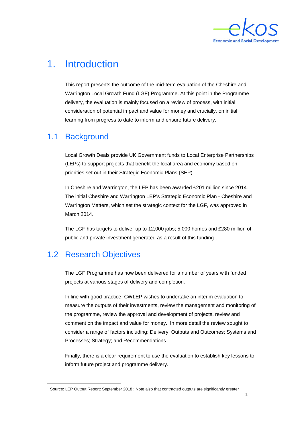

1

## <span id="page-3-0"></span>1. Introduction

This report presents the outcome of the mid-term evaluation of the Cheshire and Warrington Local Growth Fund (LGF) Programme. At this point in the Programme delivery, the evaluation is mainly focused on a review of process, with initial consideration of potential impact and value for money and crucially, on initial learning from progress to date to inform and ensure future delivery.

#### 1.1 Background

Local Growth Deals provide UK Government funds to Local Enterprise Partnerships (LEPs) to support projects that benefit the local area and economy based on priorities set out in their Strategic Economic Plans (SEP).

In Cheshire and Warrington, the LEP has been awarded £201 million since 2014. The initial Cheshire and Warrington LEP's Strategic Economic Plan - Cheshire and Warrington Matters, which set the strategic context for the LGF, was approved in March 2014.

The LGF has targets to deliver up to 12,000 jobs; 5,000 homes and £280 million of public and private investment generated as a result of this funding<sup>[1](#page-3-1)</sup>.

## 1.2 Research Objectives

The LGF Programme has now been delivered for a number of years with funded projects at various stages of delivery and completion.

In line with good practice, CWLEP wishes to undertake an interim evaluation to measure the outputs of their investments, review the management and monitoring of the programme, review the approval and development of projects, review and comment on the impact and value for money. In more detail the review sought to consider a range of factors including: Delivery; Outputs and Outcomes; Systems and Processes; Strategy; and Recommendations.

Finally, there is a clear requirement to use the evaluation to establish key lessons to inform future project and programme delivery.

<span id="page-3-1"></span> <sup>1</sup> Source: LEP Output Report: September 2018 : Note also that contracted outputs are significantly greater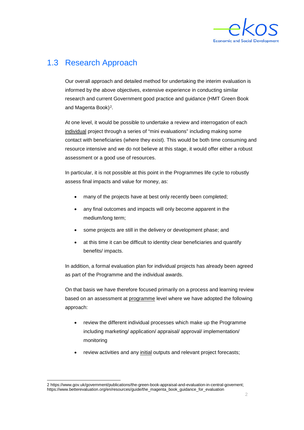

### 1.3 Research Approach

Our overall approach and detailed method for undertaking the interim evaluation is informed by the above objectives, extensive experience in conducting similar research and current Government good practice and guidance (HMT Green Book and Magenta Book)<sup>[2](#page-4-0)</sup>.

At one level, it would be possible to undertake a review and interrogation of each individual project through a series of "mini evaluations" including making some contact with beneficiaries (where they exist). This would be both time consuming and resource intensive and we do not believe at this stage, it would offer either a robust assessment or a good use of resources.

In particular, it is not possible at this point in the Programmes life cycle to robustly assess final impacts and value for money, as:

- many of the projects have at best only recently been completed;
- any final outcomes and impacts will only become apparent in the medium/long term;
- some projects are still in the delivery or development phase; and
- at this time it can be difficult to identity clear beneficiaries and quantify benefits/ impacts.

In addition, a formal evaluation plan for individual projects has already been agreed as part of the Programme and the individual awards.

On that basis we have therefore focused primarily on a process and learning review based on an assessment at programme level where we have adopted the following approach:

- review the different individual processes which make up the Programme including marketing/ application/ appraisal/ approval/ implementation/ monitoring
- review activities and any initial outputs and relevant project forecasts;

<span id="page-4-0"></span> <sup>2</sup> [https://www.gov.uk/government/publications/the-green-book-appraisal-and-evaluation-in-central-governent;](https://www.gov.uk/government/publications/the-green-book-appraisal-and-evaluation-in-central-governent)  https://www.betterevaluation.org/en/resources/guide/the\_magenta\_book\_guidance\_for\_evaluation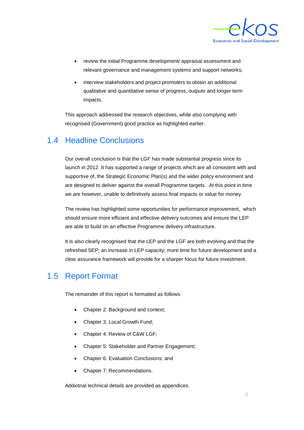

- review the initial Programme development/ appraisal assessment and relevant governance and management systems and support networks;
- interview stakeholders and project promoters to obtain an additional qualitative and quantitative sense of progress, outputs and longer term impacts.

This approach addressed the research objectives, while also complying with recognised (Government) good practice as highlighted earlier.

#### 1.4 Headline Conclusions

Our overall conclusion is that the LGF has made substantial progress since its launch in 2012. It has supported a range of projects which are all consistent with and supportive of, the Strategic Economic Plan(s) and the wider policy environment and are designed to deliver against the overall Programme targets. At this point in time we are however, unable to definitively assess final impacts or value for money.

The review has highlighted some opportunities for performance improvement, which should ensure more efficient and effective delivery outcomes and ensure the LEP are able to build on an effective Programme delivery infrastructure.

It is also clearly recognised that the LEP and the LGF are both evolving and that the refreshed SEP; an increase in LEP capacity; more time for future development and a clear assurance framework will provide for a sharper focus for future investment.

#### 1.5 Report Format

The remainder of this report is formatted as follows:

- Chapter 2: Background and context;
- Chapter 3: Local Growth Fund:
- Chapter 4: Review of C&W LGF;
- Chapter 5: Stakeholder and Partner Engagement;
- Chapter 6: Evaluation Conclusions; and
- Chapter 7: Recommendations.

Addiotnal technical details are provided as appendices.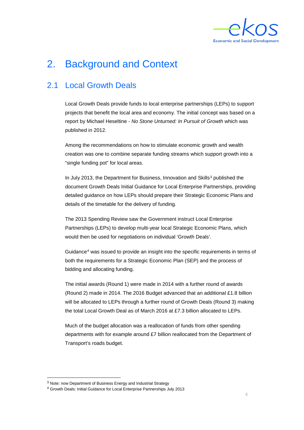

# <span id="page-6-0"></span>2. Background and Context

### 2.1 Local Growth Deals

Local Growth Deals provide funds to local enterprise partnerships (LEPs) to support projects that benefit the local area and economy. The initial concept was based on a report by Michael Heseltine - *No Stone Unturned: In Pursuit of Growth* which was published in 2012.

Among the recommendations on how to stimulate economic growth and wealth creation was one to combine separate funding streams which support growth into a "single funding pot" for local areas.

In July 201[3](#page-6-1), the Department for Business, Innovation and Skills<sup>3</sup> published the document Growth Deals Initial Guidance for Local Enterprise Partnerships, providing detailed guidance on how LEPs should prepare their Strategic Economic Plans and details of the timetable for the delivery of funding.

The 2013 Spending Review saw the Government instruct Local Enterprise Partnerships (LEPs) to develop multi-year local Strategic Economic Plans, which would then be used for negotiations on individual 'Growth Deals'.

Guidance[4](#page-6-2) was issued to provide an insight into the specific requirements in terms of both the requirements for a Strategic Economic Plan (SEP) and the process of bidding and allocating funding.

The initial awards (Round 1) were made in 2014 with a further round of awards (Round 2) made in 2014. The 2016 Budget advanced that an additional £1.8 billion will be allocated to LEPs through a further round of Growth Deals (Round 3) making the total Local Growth Deal as of March 2016 at £7.3 billion allocated to LEPs.

Much of the budget allocation was a reallocation of funds from other spending departments with for example around £7 billion reallocated from the Department of Transport's roads budget.

<span id="page-6-1"></span><sup>&</sup>lt;sup>3</sup> Note: now Department of Business Energy and Industrial Strategy

<span id="page-6-2"></span><sup>4</sup> Growth Deals: Initial Guidance for Local Enterprise Partnerships July 2013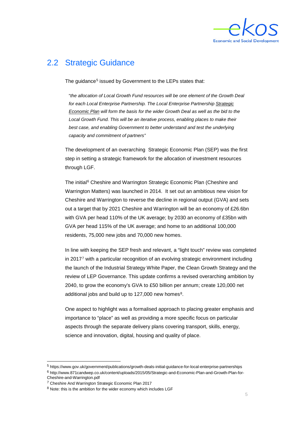

#### 2.2 Strategic Guidance

The guidance<sup>[5](#page-7-0)</sup> issued by Government to the LEPs states that:

"*the allocation of Local Growth Fund resources will be one element of the Growth Deal for each Local Enterprise Partnership. The Local Enterprise Partnership Strategic Economic Plan will form the basis for the wider Growth Deal as well as the bid to the Local Growth Fund. This will be an iterative process, enabling places to make their best case, and enabling Government to better understand and test the underlying capacity and commitment of partners"*

The development of an overarching Strategic Economic Plan (SEP) was the first step in setting a strategic framework for the allocation of investment resources through LGF.

The initial<sup>[6](#page-7-1)</sup> Cheshire and Warrington Strategic Economic Plan (Cheshire and Warrington Matters) was launched in 2014. It set out an ambitious new vision for Cheshire and Warrington to reverse the decline in regional output (GVA) and sets out a target that by 2021 Cheshire and Warrington will be an economy of £26.6bn with GVA per head 110% of the UK average; by 2030 an economy of £35bn with GVA per head 115% of the UK average; and home to an additional 100,000 residents, 75,000 new jobs and 70,000 new homes.

In line with keeping the SEP fresh and relevant, a "light touch" review was completed in 2017[7](#page-7-2) with a particular recognition of an evolving strategic environment including the launch of the Industrial Strategy White Paper, the Clean Growth Strategy and the review of LEP Governance. This update confirms a revised overarching ambition by 2040, to grow the economy's GVA to £50 billion per annum; create 120,000 net additional jobs and build up to  $127,000$  new homes<sup>8</sup>.

One aspect to highlight was a formalised approach to placing greater emphasis and importance to "place" as well as providing a more specific focus on particular aspects through the separate delivery plans covering transport, skills, energy, science and innovation, digital, housing and quality of place.

<span id="page-7-0"></span> <sup>5</sup> https://www.gov.uk/government/publications/growth-deals-initial-guidance-for-local-enterprise-partnerships

<span id="page-7-1"></span><sup>6</sup> http://www.871candwep.co.uk/content/uploads/2015/05/Strategic-and-Economic-Plan-and-Growth-Plan-for-

Cheshire-and-Warrington.pdf

<span id="page-7-2"></span><sup>7</sup> Cheshire And Warrington Strategic Economic Plan 2017

<span id="page-7-3"></span><sup>&</sup>lt;sup>8</sup> Note: this is the ambition for the wider economy which includes LGF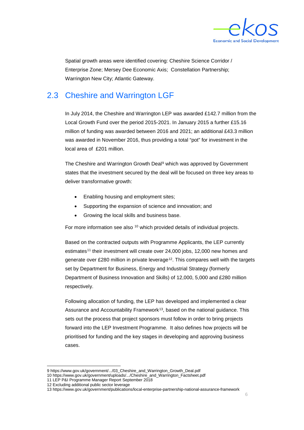

Spatial growth areas were identified covering: Cheshire Science Corridor / Enterprise Zone; Mersey Dee Economic Axis; Constellation Partnership; Warrington New City; Atlantic Gateway.

#### 2.3 Cheshire and Warrington LGF

In July 2014, the Cheshire and Warrington LEP was awarded £142.7 million from the Local Growth Fund over the period 2015-2021. In January 2015 a further £15.16 million of funding was awarded between 2016 and 2021; an additional £43.3 million was awarded in November 2016, thus providing a total "pot" for investment in the local area of £201 million.

The Cheshire and Warrington Growth Deal<sup>[9](#page-8-0)</sup> which was approved by Government states that the investment secured by the deal will be focused on three key areas to deliver transformative growth:

- Enabling housing and employment sites;
- Supporting the expansion of science and innovation; and
- Growing the local skills and business base.

For more information see also <sup>[10](#page-8-1)</sup>which provided details of individual projects.

Based on the contracted outputs with Programme Applicants, the LEP currently estimates<sup>[11](#page-8-2)</sup> their investment will create over 24,000 jobs, 12,000 new homes and generate over £280 million in private leverage<sup>12</sup>. This compares well with the targets set by Department for Business, Energy and Industrial Strategy (formerly Department of Business Innovation and Skills) of 12,000, 5,000 and £280 million respectively.

Following allocation of funding, the LEP has developed and implemented a clear Assurance and Accountability Framework<sup>[13](#page-8-4)</sup>, based on the national guidance. This sets out the process that project sponsors must follow in order to bring projects forward into the LEP Investment Programme. It also defines how projects will be prioritised for funding and the key stages in developing and approving business cases.

 <sup>9</sup> [https://www.gov.uk/government/.../03\\_Cheshire\\_and\\_Warrington\\_Growth\\_Deal.pdf](https://www.gov.uk/government/.../03_Cheshire_and_Warrington_Growth_Deal.pdf)

<span id="page-8-2"></span><span id="page-8-1"></span><span id="page-8-0"></span><sup>10</sup> [https://www.gov.uk/government/uploads/.../Cheshire\\_and\\_Warrington\\_Factsheet.pdf](https://www.gov.uk/government/uploads/.../Cheshire_and_Warrington_Factsheet.pdf)

<sup>11</sup> LEP P&I Programme Manager Report September 2018

<span id="page-8-3"></span><sup>12</sup> Excluding additional public sector leverage

<span id="page-8-4"></span><sup>13</sup> https://www.gov.uk/government/publications/local-enterprise-partnership-national-assurance-framework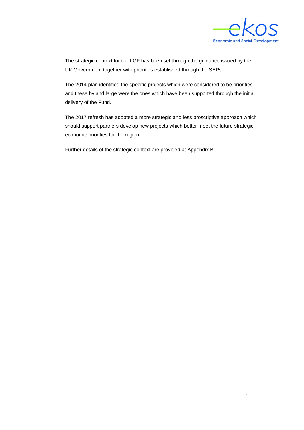

The strategic context for the LGF has been set through the guidance issued by the UK Government together with priorities established through the SEPs.

The 2014 plan identified the specific projects which were considered to be priorities and these by and large were the ones which have been supported through the initial delivery of the Fund.

The 2017 refresh has adopted a more strategic and less proscriptive approach which should support partners develop new projects which better meet the future strategic economic priorities for the region.

Further details of the strategic context are provided at Appendix B.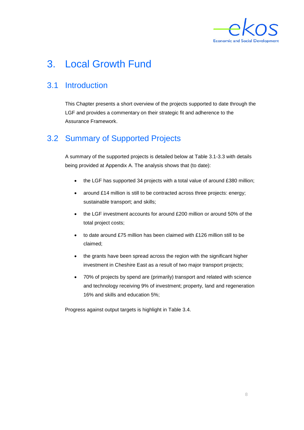

# <span id="page-10-0"></span>3. Local Growth Fund

## 3.1 Introduction

This Chapter presents a short overview of the projects supported to date through the LGF and provides a commentary on their strategic fit and adherence to the Assurance Framework.

## 3.2 Summary of Supported Projects

A summary of the supported projects is detailed below at Table 3.1-3.3 with details being provided at Appendix A. The analysis shows that (to date):

- the LGF has supported 34 projects with a total value of around £380 million;
- around £14 million is still to be contracted across three projects: energy; sustainable transport; and skills;
- the LGF investment accounts for around £200 million or around 50% of the total project costs;
- to date around £75 million has been claimed with £126 million still to be claimed;
- the grants have been spread across the region with the significant higher investment in Cheshire East as a result of two major transport projects;
- 70% of projects by spend are (primarily) transport and related with science and technology receiving 9% of investment; property, land and regeneration 16% and skills and education 5%;

Progress against output targets is highlight in Table 3.4.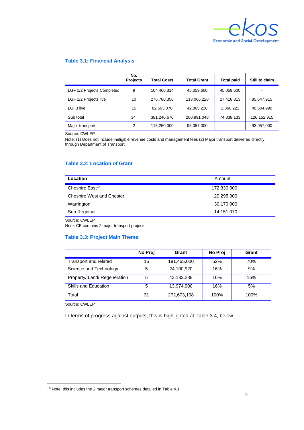

#### **Table 3.1: Financial Analysis**

|                            | No.<br><b>Projects</b> | <b>Total Costs</b> | <b>Total Grant</b> | Total paid | Still to claim |
|----------------------------|------------------------|--------------------|--------------------|------------|----------------|
| LGF 1/2 Projects Completed | 9                      | 104,460,314        | 45,059,600         | 45,059,600 |                |
| LGF 1/2 Projects live      | 10                     | 276,780,356        | 113,066,228        | 27,418,313 | 85,647,915     |
| LGF3 live                  | 15                     | 82,593,070         | 42,865,220         | 2,360,221  | 40,504,999     |
| Sub total                  | 34                     | 381,240,670        | 200,991,048        | 74,838,133 | 126, 152, 915  |
| Major transport            | 2                      | 115,250,000        | 93,057,000         |            | 93,057,000     |

Source: CWLEP

Note: (1) Does not include ineligible revenue costs and management fees (2) Major transport delivered directly through Department of Transport

#### **Table 3.2: Location of Grant**

| Location                         | Amount      |
|----------------------------------|-------------|
| Cheshire East <sup>14</sup>      | 172,330,000 |
| <b>Cheshire West and Chester</b> | 29,295,000  |
| Warrington                       | 30,170,000  |
| Sub Regional                     | 14,151,070  |

Source: CWLEP

Note: CE contains 2 major transport projects

#### **Table 3.3: Project Main Theme**

|                              | No Proj | Grant       | No Proj | Grant |
|------------------------------|---------|-------------|---------|-------|
| Transport and related        | 16      | 191,465,000 | 52%     | 70%   |
| Science and Technology       | 5       | 24,100,920  | 16%     | 9%    |
| Property/ Land/ Regeneration | 5       | 43,132,288  | 16%     | 16%   |
| Skills and Education         | 5       | 13,974,900  | 16%     | 5%    |
| Total                        | 31      | 272,673,108 | 100%    | 100%  |

Source: CWLEP

In terms of progress against outputs, this is highlighted at Table 3.4, below.

<span id="page-11-0"></span> <sup>14</sup> Note: this includes the 2 major transport schemes detailed in Table 4.1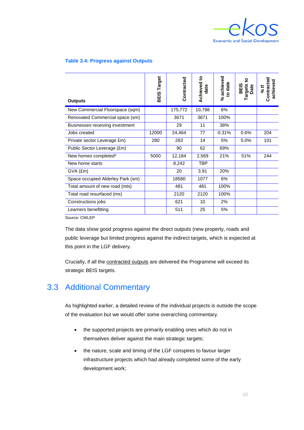

#### **Table 3.4: Progress against Outputs**

| <b>Outputs</b>                    | Target<br>BEIS | Contracted | <u>ي</u><br>Achieved<br>date | % achieved<br>to date | ខ្<br><b>Targets</b><br>Date<br><b>BEIS</b> | Contracted<br>achieved<br>¥ ا∉ |
|-----------------------------------|----------------|------------|------------------------------|-----------------------|---------------------------------------------|--------------------------------|
| New Commercial Floorspace (sqm)   |                | 175,772    | 10,788                       | 6%                    |                                             |                                |
| Renovated Commercial space (sm)   |                | 3671       | 3671                         | 100%                  |                                             |                                |
| Businesses receiving investment   |                | 29         | 11                           | 38%                   |                                             |                                |
| Jobs created                      | 12000          | 24,464     | 77                           | 0.31%                 | 0.6%                                        | 204                            |
| Private sector Leverage £m)       | 280            | 283        | 14                           | 5%                    | 5.0%                                        | 101                            |
| Public Sector Leverage (£m)       |                | 90         | 62                           | 69%                   |                                             |                                |
| New homes completed*              | 5000           | 12,184     | 2,569                        | 21%                   | 51%                                         | 244                            |
| New home starts                   |                | 8,242      | <b>TBP</b>                   |                       |                                             |                                |
| $GVA$ $(Em)$                      |                | 20         | 3.91                         | 20%                   |                                             |                                |
| Space occupied Alderley Park (sm) |                | 18580      | 1077                         | 6%                    |                                             |                                |
| Total amount of new road (mts)    |                | 481        | 481                          | 100%                  |                                             |                                |
| Total road resurfaced (ms)        |                | 2120       | 2120                         | 100%                  |                                             |                                |
| Constructions jobs                |                | 621        | 10                           | 2%                    |                                             |                                |
| Learners benefitting              |                | 511        | 25                           | 5%                    |                                             |                                |

Source: CWLEP

The data show good progress against the direct outputs (new property, roads and public leverage but limited progress against the indirect targets, which is expected at this point in the LGF delivery.

Crucially, if all the contracted outputs are delivered the Programme will exceed its strategic BEIS targets.

#### 3.3 Additional Commentary

As highlighted earlier, a detailed review of the individual projects is outside the scope of the evaluation but we would offer some overarching commentary.

- the supported projects are primarily enabling ones which do not in themselves deliver against the main strategic targets;
- the nature, scale and timing of the LGF conspires to favour larger infrastructure projects which had already completed some of the early development work;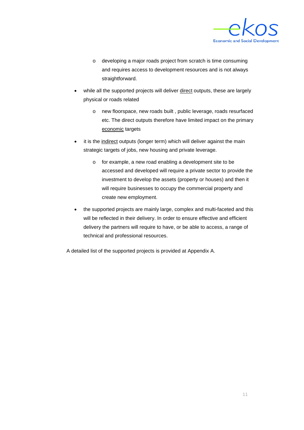

- o developing a major roads project from scratch is time consuming and requires access to development resources and is not always straightforward.
- while all the supported projects will deliver direct outputs, these are largely physical or roads related
	- o new floorspace, new roads built , public leverage, roads resurfaced etc. The direct outputs therefore have limited impact on the primary economic targets
- it is the indirect outputs (longer term) which will deliver against the main strategic targets of jobs, new housing and private leverage.
	- o for example, a new road enabling a development site to be accessed and developed will require a private sector to provide the investment to develop the assets (property or houses) and then it will require businesses to occupy the commercial property and create new employment.
- the supported projects are mainly large, complex and multi-faceted and this will be reflected in their delivery. In order to ensure effective and efficient delivery the partners will require to have, or be able to access, a range of technical and professional resources.

A detailed list of the supported projects is provided at Appendix A.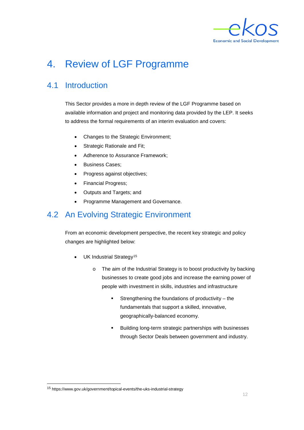

# <span id="page-14-0"></span>4. Review of LGF Programme

#### 4.1 Introduction

This Sector provides a more in depth review of the LGF Programme based on available information and project and monitoring data provided by the LEP. It seeks to address the formal requirements of an interim evaluation and covers:

- Changes to the Strategic Environment;
- Strategic Rationale and Fit;
- Adherence to Assurance Framework;
- Business Cases:
- Progress against objectives;
- Financial Progress;
- Outputs and Targets; and
- Programme Management and Governance.

#### 4.2 An Evolving Strategic Environment

From an economic development perspective, the recent key strategic and policy changes are highlighted below:

- UK Industrial Strategy<sup>[15](#page-14-1)</sup>
	- o The aim of the Industrial Strategy is to boost productivity by backing businesses to create good jobs and increase the earning power of people with investment in skills, industries and infrastructure
		- Strengthening the foundations of productivity the fundamentals that support a skilled, innovative, geographically-balanced economy.
		- Building long-term strategic partnerships with businesses through Sector Deals between government and industry.

<span id="page-14-1"></span> <sup>15</sup> https://www.gov.uk/government/topical-events/the-uks-industrial-strategy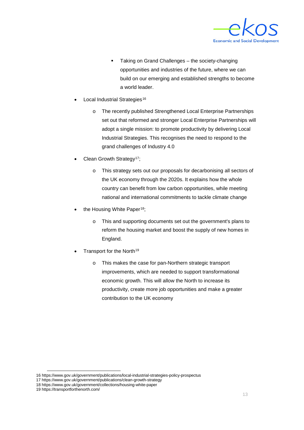

- **Taking on Grand Challenges the society-changing** opportunities and industries of the future, where we can build on our emerging and established strengths to become a world leader.
- Local Industrial Strategies<sup>[16](#page-15-0)</sup>
	- o The recently published Strengthened Local Enterprise Partnerships set out that reformed and stronger Local Enterprise Partnerships will adopt a single mission: to promote productivity by delivering Local Industrial Strategies. This recognises the need to respond to the grand challenges of Industry 4.0
- Clean Growth Strategy<sup>[17](#page-15-1)</sup>;
	- o This strategy sets out our proposals for decarbonising all sectors of the UK economy through the 2020s. It explains how the whole country can benefit from low carbon opportunities, while meeting national and international commitments to tackle climate change
- the Housing White Paper<sup>[18](#page-15-2)</sup>;
	- o This and supporting documents set out the government's plans to reform the housing market and boost the supply of new homes in England.
- Transport for the North<sup>[19](#page-15-3)</sup>
	- o This makes the case for pan-Northern strategic transport improvements, which are needed to support transformational economic growth. This will allow the North to increase its productivity, create more job opportunities and make a greater contribution to the UK economy

 <sup>16</sup> https://www.gov.uk/government/publications/local-industrial-strategies-policy-prospectus

<span id="page-15-1"></span><span id="page-15-0"></span><sup>17</sup> https://www.gov.uk/government/publications/clean-growth-strategy

<span id="page-15-2"></span><sup>18</sup> https://www.gov.uk/government/collections/housing-white-paper

<span id="page-15-3"></span><sup>19</sup> https://transportforthenorth.com/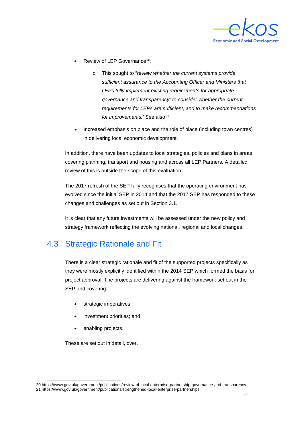

- Review of LEP Governance<sup>[20](#page-16-0)</sup>;
	- o This sought to "*review whether the current systems provide sufficient assurance to the Accounting Officer and Ministers that LEPs fully implement existing requirements for appropriate governance and transparency; to consider whether the current requirements for LEPs are sufficient; and to make recommendations*  for *improvements*.' See also<sup>[21](#page-16-1)</sup>
- Increased emphasis on place and the role of place (including town centres) in delivering local economic development.

In addition, there have been updates to local strategies, policies and plans in areas covering planning, transport and housing and across all LEP Partners. A detailed review of this is outside the scope of this evaluation. .

The 2017 refresh of the SEP fully recognises that the operating environment has evolved since the initial SEP in 2014 and that the 2017 SEP has responded to these changes and challenges as set out in Section 3.1.

It is clear that any future investments will be assessed under the new policy and strategy framework reflecting the evolving national, regional and local changes.

#### 4.3 Strategic Rationale and Fit

There is a clear strategic rationale and fit of the supported projects specifically as they were mostly explicitly identified within the 2014 SEP which formed the basis for project approval. The projects are delivering against the framework set out in the SEP and covering:

- strategic imperatives:
- investment priorities; and
- enabling projects.

These are set out in detail, over.

<span id="page-16-1"></span><span id="page-16-0"></span> <sup>20</sup> https://www.gov.uk/government/publications/review-of-local-enterprise-partnership-governance-and-transparency 21 https://www.gov.uk/government/publications/strengthened-local-enterprise-partnerships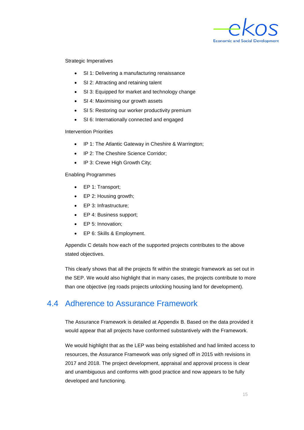

Strategic Imperatives

- SI 1: Delivering a manufacturing renaissance
- SI 2: Attracting and retaining talent
- SI 3: Equipped for market and technology change
- SI 4: Maximising our growth assets
- SI 5: Restoring our worker productivity premium
- SI 6: Internationally connected and engaged

#### Intervention Priorities

- IP 1: The Atlantic Gateway in Cheshire & Warrington;
- IP 2: The Cheshire Science Corridor;
- IP 3: Crewe High Growth City;

#### Enabling Programmes

- EP 1: Transport;
- EP 2: Housing growth;
- EP 3: Infrastructure;
- EP 4: Business support;
- EP 5: Innovation;
- EP 6: Skills & Employment.

Appendix C details how each of the supported projects contributes to the above stated objectives.

This clearly shows that all the projects fit within the strategic framework as set out in the SEP. We would also highlight that in many cases, the projects contribute to more than one objective (eg roads projects unlocking housing land for development).

#### 4.4 Adherence to Assurance Framework

The Assurance Framework is detailed at Appendix B. Based on the data provided it would appear that all projects have conformed substantively with the Framework.

We would highlight that as the LEP was being established and had limited access to resources, the Assurance Framework was only signed off in 2015 with revisions in 2017 and 2018. The project development, appraisal and approval process is clear and unambiguous and conforms with good practice and now appears to be fully developed and functioning.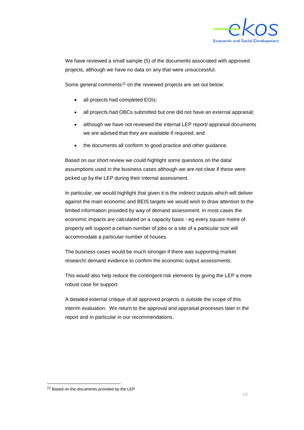

We have reviewed a small sample (5) of the documents associated with approved projects, although we have no data on any that were unsuccessful.

Some general comments<sup>[22](#page-18-0)</sup> on the reviewed projects are set out below:

- all projects had completed EOIs;
- all projects had OBCs submitted but one did not have an external appraisal;
- although we have not reviewed the internal LEP report/ appraisal documents we are advised that they are available if required; and
- the documents all conform to good practice and other guidance.

Based on our short review we could highlight some questions on the data/ assumptions used in the business cases although we are not clear if these were picked up by the LEP during their internal assessment.

In particular, we would highlight that given it is the indirect outputs which will deliver against the main economic and BEIS targets we would wish to draw attention to the limited information provided by way of demand assessment. In most cases the economic impacts are calculated on a capacity basis - eg every square metre of property will support a certain number of jobs or a site of a particular size will accommodate a particular number of houses.

The business cases would be much stronger if there was supporting market research/ demand evidence to confirm the economic output assessments.

This would also help reduce the contingent risk elements by giving the LEP a more robust case for support.

A detailed external critique of all approved projects is outside the scope of this interim evaluation. We return to the approval and appraisal processes later in the report and in particular in our recommendations.

<span id="page-18-0"></span><sup>&</sup>lt;sup>22</sup> Based on the documents provided by the LEP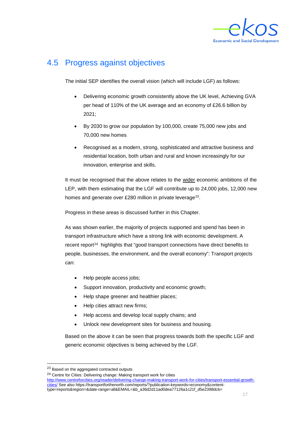

### 4.5 Progress against objectives

The initial SEP identifies the overall vision (which will include LGF) as follows:

- Delivering economic growth consistently above the UK level, Achieving GVA per head of 110% of the UK average and an economy of £26.6 billion by 2021;
- By 2030 to grow our population by 100,000, create 75,000 new jobs and 70,000 new homes
- Recognised as a modern, strong, sophisticated and attractive business and residential location, both urban and rural and known increasingly for our innovation, enterprise and skills.

It must be recognised that the above relates to the wider economic ambitions of the LEP, with them estimating that the LGF will contribute up to 24,000 jobs, 12,000 new homes and generate over £280 million in private leverage<sup>23</sup>.

Progress in these areas is discussed further in this Chapter.

As was shown earlier, the majority of projects supported and spend has been in transport infrastructure which have a strong link with economic development. A recent report<sup>[24](#page-19-1)</sup> highlights that "good transport connections have direct benefits to people, businesses, the environment, and the overall economy": Transport projects can:

- Help people access jobs;
- Support innovation, productivity and economic growth;
- Help shape greener and healthier places;
- Help cities attract new firms;
- Help access and develop local supply chains; and
- Unlock new development sites for business and housing.

Based on the above it can be seen that progress towards both the specific LGF and generic economic objectives is being achieved by the LGF.

<span id="page-19-0"></span><sup>&</sup>lt;sup>23</sup> Based on the aggregated contracted outputs

<span id="page-19-1"></span><sup>24</sup> Centre for Cities: Delivering change: Making transport work for cities [http://www.centreforcities.org/reader/delivering-change-making-transport-work-for-cities/transport-essential-growth](http://www.centreforcities.org/reader/delivering-change-making-transport-work-for-cities/transport-essential-growth-cities/)[cities/](http://www.centreforcities.org/reader/delivering-change-making-transport-work-for-cities/transport-essential-growth-cities/) See also https://transportforthenorth.com/reports/?publication-keywords=economy&contenttype=reports&region=&date-range=all&EMAIL=&b\_a36d2d11ad0dea77126a1c21f\_d5e2398dcb=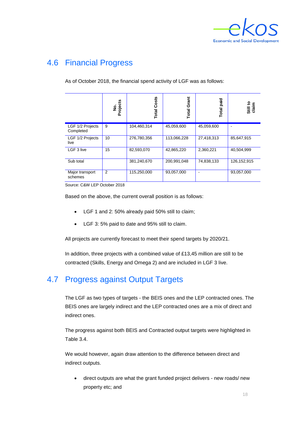

## 4.6 Financial Progress

As of October 2018, the financial spend activity of LGF was as follows:

|                               | No.<br>Projects | Costs<br>Total | Grant<br>Total | paid<br>Total | Still to<br>claim |
|-------------------------------|-----------------|----------------|----------------|---------------|-------------------|
| LGF 1/2 Projects<br>Completed | 9               | 104,460,314    | 45,059,600     | 45,059,600    |                   |
| LGF 1/2 Projects<br>live      | 10              | 276,780,356    | 113,066,228    | 27,418,313    | 85,647,915        |
| LGF 3 live                    | 15              | 82,593,070     | 42,865,220     | 2,360,221     | 40,504,999        |
| Sub total                     |                 | 381,240,670    | 200,991,048    | 74,838,133    | 126, 152, 915     |
| Major transport<br>schemes    | 2               | 115,250,000    | 93,057,000     |               | 93,057,000        |

Source: C&W LEP October 2018

Based on the above, the current overall position is as follows:

- LGF 1 and 2: 50% already paid 50% still to claim;
- LGF 3: 5% paid to date and 95% still to claim.

All projects are currently forecast to meet their spend targets by 2020/21.

In addition, three projects with a combined value of £13,45 million are still to be contracted (Skills, Energy and Omega 2) and are included in LGF 3 live.

## 4.7 Progress against Output Targets

The LGF as two types of targets - the BEIS ones and the LEP contracted ones. The BEIS ones are largely indirect and the LEP contracted ones are a mix of direct and indirect ones.

The progress against both BEIS and Contracted output targets were highlighted in Table 3.4.

We would however, again draw attention to the difference between direct and indirect outputs.

• direct outputs are what the grant funded project delivers - new roads/ new property etc; and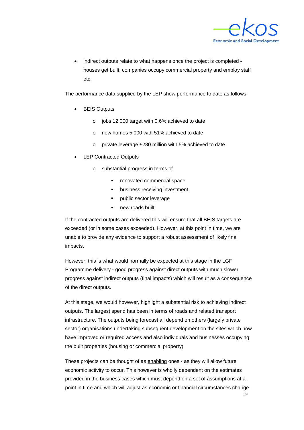

• indirect outputs relate to what happens once the project is completed houses get built; companies occupy commercial property and employ staff etc.

The performance data supplied by the LEP show performance to date as follows:

- **BEIS Outputs** 
	- o jobs 12,000 target with 0.6% achieved to date
	- o new homes 5,000 with 51% achieved to date
	- o private leverage £280 million with 5% achieved to date
- LEP Contracted Outputs
	- o substantial progress in terms of
		- renovated commercial space
		- business receiving investment
		- **•** public sector leverage
		- **new roads built.**

If the contracted outputs are delivered this will ensure that all BEIS targets are exceeded (or in some cases exceeded). However, at this point in time, we are unable to provide any evidence to support a robust assessment of likely final impacts.

However, this is what would normally be expected at this stage in the LGF Programme delivery - good progress against direct outputs with much slower progress against indirect outputs (final impacts) which will result as a consequence of the direct outputs.

At this stage, we would however, highlight a substantial risk to achieving indirect outputs. The largest spend has been in terms of roads and related transport infrastructure. The outputs being forecast all depend on others (largely private sector) organisations undertaking subsequent development on the sites which now have improved or required access and also individuals and businesses occupying the built properties (housing or commercial property)

These projects can be thought of as enabling ones - as they will allow future economic activity to occur. This however is wholly dependent on the estimates provided in the business cases which must depend on a set of assumptions at a point in time and which will adjust as economic or financial circumstances change.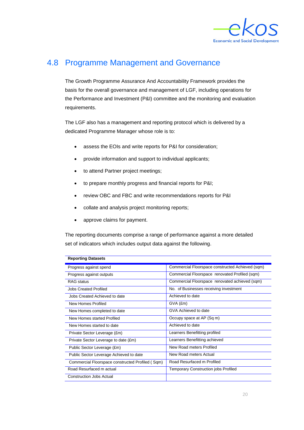

#### 4.8 Programme Management and Governance

The Growth Programme Assurance And Accountability Framework provides the basis for the overall governance and management of LGF, including operations for the Performance and Investment (P&I) committee and the monitoring and evaluation requirements.

The LGF also has a management and reporting protocol which is delivered by a dedicated Programme Manager whose role is to:

- assess the EOIs and write reports for P&I for consideration;
- provide information and support to individual applicants;
- to attend Partner project meetings;
- to prepare monthly progress and financial reports for P&I;
- review OBC and FBC and write recommendations reports for P&I
- collate and analysis project monitoring reports;
- approve claims for payment.

**Reporting Datasets** 

The reporting documents comprise a range of performance against a more detailed set of indicators which includes output data against the following.

| Reporting DataSetS                               |                                                  |
|--------------------------------------------------|--------------------------------------------------|
| Progress against spend                           | Commercial Floorspace constructed Achieved (sqm) |
| Progress against outputs                         | Commercial Floorspace renovated Profiled (sqm)   |
| <b>RAG</b> status                                | Commercial Floorspace renovated achieved (sqm)   |
| <b>Jobs Created Profiled</b>                     | No. of Businesses receiving investment           |
| Jobs Created Achieved to date                    | Achieved to date                                 |
| New Homes Profiled                               | $GVA$ $(Em)$                                     |
| New Homes completed to date                      | GVA Achieved to date                             |
| New Homes started Profiled                       | Occupy space at AP (Sq m)                        |
| New Homes started to date                        | Achieved to date                                 |
| Private Sector Leverage (£m)                     | Learners Benefitting profiled                    |
| Private Sector Leverage to date (£m)             | Learners Benefitting achieved                    |
| Public Sector Leverage (£m)                      | New Road meters Profiled                         |
| Public Sector Leverage Achieved to date          | New Road meters Actual                           |
| Commercial Floorspace constructed Profiled (Sqm) | Road Resurfaced m Profiled                       |
| Road Resurfaced m actual                         | Temporary Construction jobs Profiled             |
| <b>Construction Jobs Actual</b>                  |                                                  |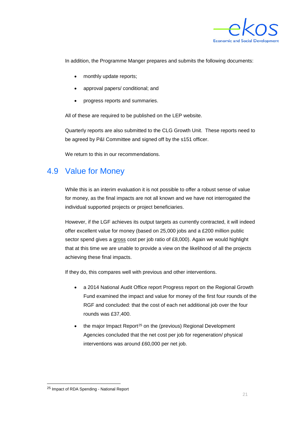

In addition, the Programme Manger prepares and submits the following documents:

- monthly update reports;
- approval papers/ conditional; and
- progress reports and summaries.

All of these are required to be published on the LEP website.

Quarterly reports are also submitted to the CLG Growth Unit. These reports need to be agreed by P&I Committee and signed off by the s151 officer.

We return to this in our recommendations.

#### 4.9 Value for Money

While this is an interim evaluation it is not possible to offer a robust sense of value for money, as the final impacts are not all known and we have not interrogated the individual supported projects or project beneficiaries.

However, if the LGF achieves its output targets as currently contracted, it will indeed offer excellent value for money (based on 25,000 jobs and a £200 million public sector spend gives a gross cost per job ratio of £8,000). Again we would highlight that at this time we are unable to provide a view on the likelihood of all the projects achieving these final impacts.

If they do, this compares well with previous and other interventions.

- a 2014 National Audit Office report Progress report on the Regional Growth Fund examined the impact and value for money of the first four rounds of the RGF and concluded: that the cost of each net additional job over the four rounds was £37,400.
- the major Impact Report<sup>[25](#page-23-0)</sup> on the (previous) Regional Development Agencies concluded that the net cost per job for regeneration/ physical interventions was around £60,000 per net job.

<span id="page-23-0"></span> <sup>25</sup> Impact of RDA Spending - National Report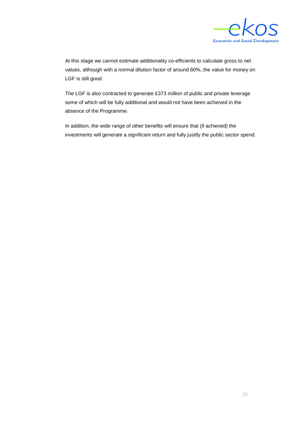

At this stage we cannot estimate additionality co-efficients to calculate gross to net values, although with a normal dilution factor of around 60%, the value for money on LGF is still good.

The LGF is also contracted to generate £373 million of public and private leverage some of which will be fully additional and would not have been achieved in the absence of the Programme.

In addition, the wide range of other benefits will ensure that (if achieved) the investments will generate a significant return and fully justify the public sector spend.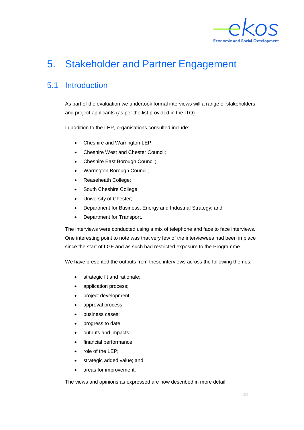

# <span id="page-25-0"></span>5. Stakeholder and Partner Engagement

#### 5.1 Introduction

As part of the evaluation we undertook formal interviews will a range of stakeholders and project applicants (as per the list provided in the ITQ).

In addition to the LEP, organisations consulted include:

- Cheshire and Warrington LEP;
- Cheshire West and Chester Council;
- Cheshire East Borough Council;
- Warrington Borough Council;
- Reaseheath College;
- South Cheshire College;
- University of Chester;
- Department for Business, Energy and Industrial Strategy; and
- Department for Transport.

The interviews were conducted using a mix of telephone and face to face interviews. One interesting point to note was that very few of the interviewees had been in place since the start of LGF and as such had restricted exposure to the Programme.

We have presented the outputs from these interviews across the following themes:

- strategic fit and rationale;
- application process;
- project development;
- approval process;
- business cases;
- progress to date;
- outputs and impacts;
- financial performance;
- role of the LEP;
- strategic added value; and
- areas for improvement.

The views and opinions as expressed are now described in more detail.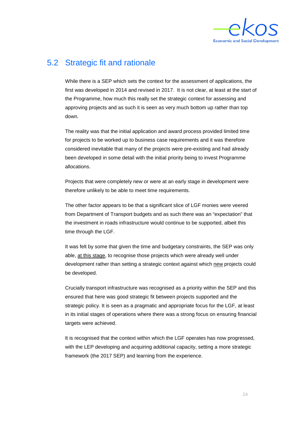

#### 5.2 Strategic fit and rationale

While there is a SEP which sets the context for the assessment of applications, the first was developed in 2014 and revised in 2017. It is not clear, at least at the start of the Programme, how much this really set the strategic context for assessing and approving projects and as such it is seen as very much bottom up rather than top down.

The reality was that the initial application and award process provided limited time for projects to be worked up to business case requirements and it was therefore considered inevitable that many of the projects were pre-existing and had already been developed in some detail with the initial priority being to invest Programme allocations.

Projects that were completely new or were at an early stage in development were therefore unlikely to be able to meet time requirements.

The other factor appears to be that a significant slice of LGF monies were veered from Department of Transport budgets and as such there was an "expectation" that the investment in roads infrastructure would continue to be supported, albeit this time through the LGF.

It was felt by some that given the time and budgetary constraints, the SEP was only able, at this stage, to recognise those projects which were already well under development rather than setting a strategic context against which new projects could be developed.

Crucially transport infrastructure was recognised as a priority within the SEP and this ensured that here was good strategic fit between projects supported and the strategic policy. It is seen as a pragmatic and appropriate focus for the LGF, at least in its initial stages of operations where there was a strong focus on ensuring financial targets were achieved.

It is recognised that the context within which the LGF operates has now progressed, with the LEP developing and acquiring additional capacity, setting a more strategic framework (the 2017 SEP) and learning from the experience.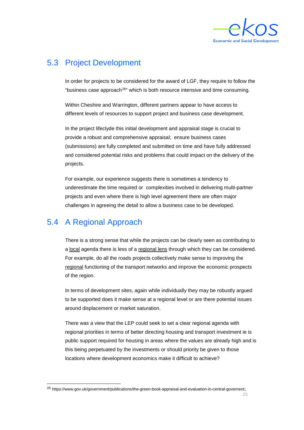

#### 5.3 Project Development

In order for projects to be considered for the award of LGF, they require to follow the "business case approach<sup>[26](#page-27-0)"</sup> which is both resource intensive and time consuming.

Within Cheshire and Warrington, different partners appear to have access to different levels of resources to support project and business case development.

In the project lifeclyde this initial development and appraisal stage is crucial to provide a robust and comprehensive appraisal; ensure business cases (submissions) are fully completed and submitted on time and have fully addressed and considered potential risks and problems that could impact on the delivery of the projects.

For example, our experience suggests there is sometimes a tendency to underestimate the time required or complexities involved in delivering multi-partner projects and even where there is high level agreement there are often major challenges in agreeing the detail to allow a business case to be developed.

#### 5.4 A Regional Approach

There is a strong sense that while the projects can be clearly seen as contributing to a local agenda there is less of a regional lens through which they can be considered. For example, do all the roads projects collectively make sense to improving the regional functioning of the transport networks and improve the economic prospects of the region.

In terms of development sites, again while individually they may be robustly argued to be supported does it make sense at a regional level or are there potential issues around displacement or market saturation.

There was a view that the LEP could seek to set a clear regional agenda with regional priorities in terms of better directing housing and transport investment ie is public support required for housing in areas where the values are already high and is this being perpetuated by the investments or should priority be given to those locations where development economics make it difficult to achieve?

<span id="page-27-0"></span> <sup>26</sup> [https://www.gov.uk/government/publications/the-green-book-appraisal-and-evaluation-in-central-governent;](https://www.gov.uk/government/publications/the-green-book-appraisal-and-evaluation-in-central-governent)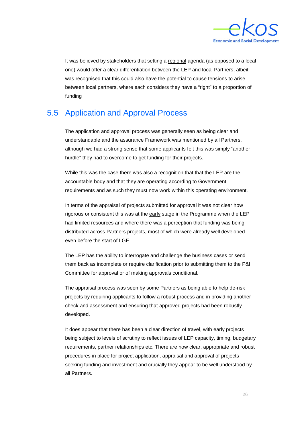

It was believed by stakeholders that setting a regional agenda (as opposed to a local one) would offer a clear differentiation between the LEP and local Partners, albeit was recognised that this could also have the potential to cause tensions to arise between local partners, where each considers they have a "right" to a proportion of funding .

#### 5.5 Application and Approval Process

The application and approval process was generally seen as being clear and understandable and the assurance Framework was mentioned by all Partners, although we had a strong sense that some applicants felt this was simply "another hurdle" they had to overcome to get funding for their projects.

While this was the case there was also a recognition that that the LEP are the accountable body and that they are operating according to Government requirements and as such they must now work within this operating environment.

In terms of the appraisal of projects submitted for approval it was not clear how rigorous or consistent this was at the early stage in the Programme when the LEP had limited resources and where there was a perception that funding was being distributed across Partners projects, most of which were already well developed even before the start of LGF.

The LEP has the ability to interrogate and challenge the business cases or send them back as incomplete or require clarification prior to submitting them to the P&I Committee for approval or of making approvals conditional.

The appraisal process was seen by some Partners as being able to help de-risk projects by requiring applicants to follow a robust process and in providing another check and assessment and ensuring that approved projects had been robustly developed.

It does appear that there has been a clear direction of travel, with early projects being subject to levels of scrutiny to reflect issues of LEP capacity, timing, budgetary requirements, partner relationships etc. There are now clear, appropriate and robust procedures in place for project application, appraisal and approval of projects seeking funding and investment and crucially they appear to be well understood by all Partners.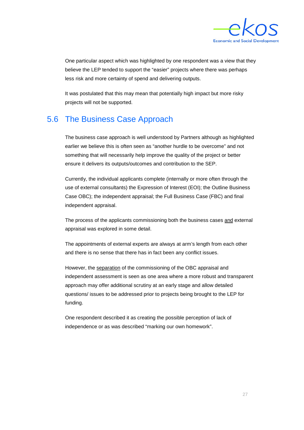

One particular aspect which was highlighted by one respondent was a view that they believe the LEP tended to support the "easier" projects where there was perhaps less risk and more certainty of spend and delivering outputs.

It was postulated that this may mean that potentially high impact but more risky projects will not be supported.

#### 5.6 The Business Case Approach

The business case approach is well understood by Partners although as highlighted earlier we believe this is often seen as "another hurdle to be overcome" and not something that will necessarily help improve the quality of the project or better ensure it delivers its outputs/outcomes and contribution to the SEP.

Currently, the individual applicants complete (internally or more often through the use of external consultants) the Expression of Interest (EOI); the Outline Business Case OBC); the independent appraisal; the Full Business Case (FBC) and final independent appraisal.

The process of the applicants commissioning both the business cases and external appraisal was explored in some detail.

The appointments of external experts are always at arm's length from each other and there is no sense that there has in fact been any conflict issues.

However, the separation of the commissioning of the OBC appraisal and independent assessment is seen as one area where a more robust and transparent approach may offer additional scrutiny at an early stage and allow detailed questions/ issues to be addressed prior to projects being brought to the LEP for funding.

One respondent described it as creating the possible perception of lack of independence or as was described "marking our own homework".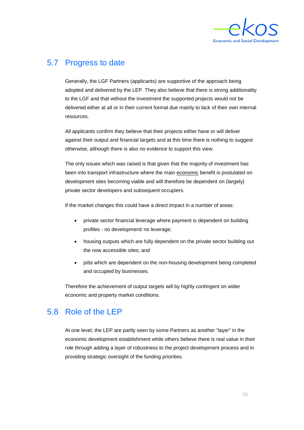

#### 5.7 Progress to date

Generally, the LGF Partners (applicants) are supportive of the approach being adopted and delivered by the LEP. They also believe that there is strong additionality to the LGF and that without the investment the supported projects would not be delivered either at all or in their current format due mainly to lack of their own internal resources.

All applicants confirm they believe that their projects either have or will deliver against their output and financial targets and at this time there is nothing to suggest otherwise, although there is also no evidence to support this view.

The only issues which was raised is that given that the majority of investment has been into transport infrastructure where the main economic benefit is postulated on development sites becoming viable and will therefore be dependent on (largely) private sector developers and subsequent occupiers.

If the market changes this could have a direct impact in a number of areas:

- private sector financial leverage where payment is dependent on building profiles - no development/ no leverage;
- housing outputs which are fully dependent on the private sector building out the now accessible sites; and
- jobs which are dependent on the non-housing development being completed and occupied by businesses.

Therefore the achievement of output targets will by highly contingent on wider economic and property market conditions.

#### 5.8 Role of the LEP

At one level, the LEP are partly seen by some Partners as another "layer" in the economic development establishment while others believe there is real value in their role through adding a layer of robustness to the project development process and in providing strategic oversight of the funding priorities.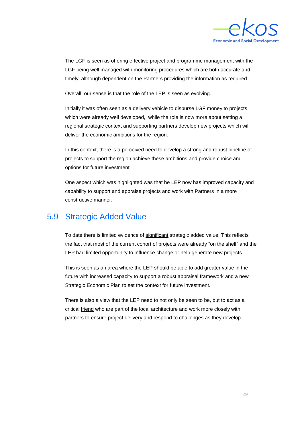

The LGF is seen as offering effective project and programme management with the LGF being well managed with monitoring procedures which are both accurate and timely, although dependent on the Partners providing the information as required.

Overall, our sense is that the role of the LEP is seen as evolving.

Initially it was often seen as a delivery vehicle to disburse LGF money to projects which were already well developed, while the role is now more about setting a regional strategic context and supporting partners develop new projects which will deliver the economic ambitions for the region.

In this context, there is a perceived need to develop a strong and robust pipeline of projects to support the region achieve these ambitions and provide choice and options for future investment.

One aspect which was highlighted was that he LEP now has improved capacity and capability to support and appraise projects and work with Partners in a more constructive manner.

#### 5.9 Strategic Added Value

To date there is limited evidence of significant strategic added value. This reflects the fact that most of the current cohort of projects were already "on the shelf" and the LEP had limited opportunity to influence change or help generate new projects.

This is seen as an area where the LEP should be able to add greater value in the future with increased capacity to support a robust appraisal framework and a new Strategic Economic Plan to set the context for future investment.

There is also a view that the LEP need to not only be seen to be, but to act as a critical *friend* who are part of the local architecture and work more closely with partners to ensure project delivery and respond to challenges as they develop.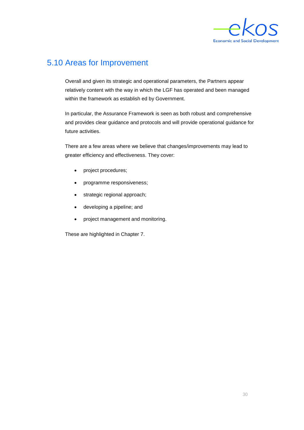

#### 5.10 Areas for Improvement

Overall and given its strategic and operational parameters, the Partners appear relatively content with the way in which the LGF has operated and been managed within the framework as establish ed by Government.

In particular, the Assurance Framework is seen as both robust and comprehensive and provides clear guidance and protocols and will provide operational guidance for future activities.

There are a few areas where we believe that changes/improvements may lead to greater efficiency and effectiveness. They cover:

- project procedures;
- programme responsiveness;
- strategic regional approach;
- developing a pipeline; and
- project management and monitoring.

These are highlighted in Chapter 7.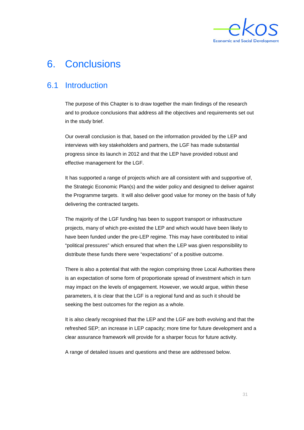

## <span id="page-33-0"></span>6. Conclusions

#### 6.1 Introduction

The purpose of this Chapter is to draw together the main findings of the research and to produce conclusions that address all the objectives and requirements set out in the study brief.

Our overall conclusion is that, based on the information provided by the LEP and interviews with key stakeholders and partners, the LGF has made substantial progress since its launch in 2012 and that the LEP have provided robust and effective management for the LGF.

It has supported a range of projects which are all consistent with and supportive of, the Strategic Economic Plan(s) and the wider policy and designed to deliver against the Programme targets. It will also deliver good value for money on the basis of fully delivering the contracted targets.

The majority of the LGF funding has been to support transport or infrastructure projects, many of which pre-existed the LEP and which would have been likely to have been funded under the pre-LEP regime. This may have contributed to initial "political pressures" which ensured that when the LEP was given responsibility to distribute these funds there were "expectations" of a positive outcome.

There is also a potential that with the region comprising three Local Authorities there is an expectation of some form of proportionate spread of investment which in turn may impact on the levels of engagement. However, we would argue, within these parameters, it is clear that the LGF is a regional fund and as such it should be seeking the best outcomes for the region as a whole.

It is also clearly recognised that the LEP and the LGF are both evolving and that the refreshed SEP; an increase in LEP capacity; more time for future development and a clear assurance framework will provide for a sharper focus for future activity.

A range of detailed issues and questions and these are addressed below.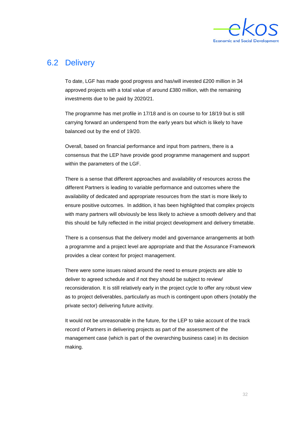

#### 6.2 Delivery

To date, LGF has made good progress and has/will invested £200 million in 34 approved projects with a total value of around £380 million, with the remaining investments due to be paid by 2020/21.

The programme has met profile in 17/18 and is on course to for 18/19 but is still carrying forward an underspend from the early years but which is likely to have balanced out by the end of 19/20.

Overall, based on financial performance and input from partners, there is a consensus that the LEP have provide good programme management and support within the parameters of the LGF.

There is a sense that different approaches and availability of resources across the different Partners is leading to variable performance and outcomes where the availability of dedicated and appropriate resources from the start is more likely to ensure positive outcomes. In addition, it has been highlighted that complex projects with many partners will obviously be less likely to achieve a smooth delivery and that this should be fully reflected in the initial project development and delivery timetable.

There is a consensus that the delivery model and governance arrangements at both a programme and a project level are appropriate and that the Assurance Framework provides a clear context for project management.

There were some issues raised around the need to ensure projects are able to deliver to agreed schedule and if not they should be subject to review/ reconsideration. It is still relatively early in the project cycle to offer any robust view as to project deliverables, particularly as much is contingent upon others (notably the private sector) delivering future activity.

It would not be unreasonable in the future, for the LEP to take account of the track record of Partners in delivering projects as part of the assessment of the management case (which is part of the overarching business case) in its decision making.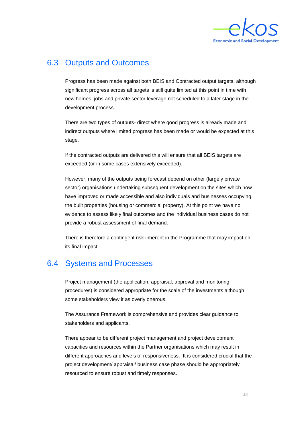

#### 6.3 Outputs and Outcomes

Progress has been made against both BEIS and Contracted output targets, although significant progress across all targets is still quite limited at this point in time with new homes, jobs and private sector leverage not scheduled to a later stage in the development process.

There are two types of outputs- direct where good progress is already made and indirect outputs where limited progress has been made or would be expected at this stage.

If the contracted outputs are delivered this will ensure that all BEIS targets are exceeded (or in some cases extensively exceeded).

However, many of the outputs being forecast depend on other (largely private sector) organisations undertaking subsequent development on the sites which now have improved or made accessible and also individuals and businesses occupying the built properties (housing or commercial property). At this point we have no evidence to assess likely final outcomes and the individual business cases do not provide a robust assessment of final demand.

There is therefore a contingent risk inherent in the Programme that may impact on its final impact.

#### 6.4 Systems and Processes

Project management (the application, appraisal, approval and monitoring procedures) is considered appropriate for the scale of the investments although some stakeholders view it as overly onerous.

The Assurance Framework is comprehensive and provides clear guidance to stakeholders and applicants.

There appear to be different project management and project development capacities and resources within the Partner organisations which may result in different approaches and levels of responsiveness. It is considered crucial that the project development/ appraisal/ business case phase should be appropriately resourced to ensure robust and timely responses.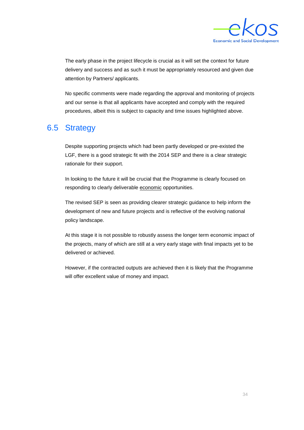

The early phase in the project lifecycle is crucial as it will set the context for future delivery and success and as such it must be appropriately resourced and given due attention by Partners/ applicants.

No specific comments were made regarding the approval and monitoring of projects and our sense is that all applicants have accepted and comply with the required procedures, albeit this is subject to capacity and time issues highlighted above.

#### 6.5 Strategy

Despite supporting projects which had been partly developed or pre-existed the LGF, there is a good strategic fit with the 2014 SEP and there is a clear strategic rationale for their support.

In looking to the future it will be crucial that the Programme is clearly focused on responding to clearly deliverable economic opportunities.

The revised SEP is seen as providing clearer strategic guidance to help inform the development of new and future projects and is reflective of the evolving national policy landscape.

At this stage it is not possible to robustly assess the longer term economic impact of the projects, many of which are still at a very early stage with final impacts yet to be delivered or achieved.

However, if the contracted outputs are achieved then it is likely that the Programme will offer excellent value of money and impact.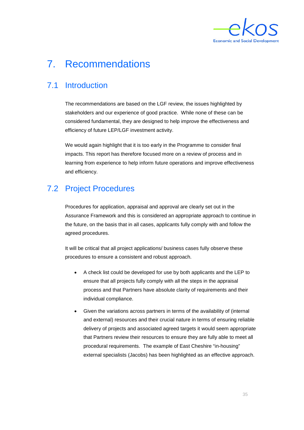

# <span id="page-37-0"></span>7. Recommendations

## 7.1 Introduction

The recommendations are based on the LGF review, the issues highlighted by stakeholders and our experience of good practice. While none of these can be considered fundamental, they are designed to help improve the effectiveness and efficiency of future LEP/LGF investment activity.

We would again highlight that it is too early in the Programme to consider final impacts. This report has therefore focused more on a review of process and in learning from experience to help inform future operations and improve effectiveness and efficiency.

## 7.2 Project Procedures

Procedures for application, appraisal and approval are clearly set out in the Assurance Framework and this is considered an appropriate approach to continue in the future, on the basis that in all cases, applicants fully comply with and follow the agreed procedures.

It will be critical that all project applications/ business cases fully observe these procedures to ensure a consistent and robust approach.

- A check list could be developed for use by both applicants and the LEP to ensure that all projects fully comply with all the steps in the appraisal process and that Partners have absolute clarity of requirements and their individual compliance.
- Given the variations across partners in terms of the availability of (internal and external) resources and their crucial nature in terms of ensuring reliable delivery of projects and associated agreed targets it would seem appropriate that Partners review their resources to ensure they are fully able to meet all procedural requirements. The example of East Cheshire "in-housing" external specialists (Jacobs) has been highlighted as an effective approach.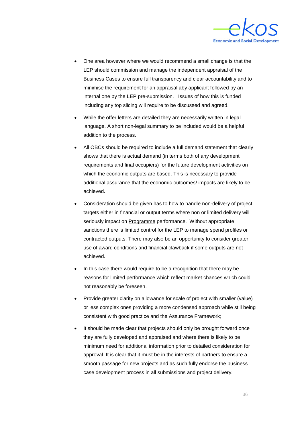

- One area however where we would recommend a small change is that the LEP should commission and manage the independent appraisal of the Business Cases to ensure full transparency and clear accountability and to minimise the requirement for an appraisal aby applicant followed by an internal one by the LEP pre-submission. Issues of how this is funded including any top slicing will require to be discussed and agreed.
- While the offer letters are detailed they are necessarily written in legal language. A short non-legal summary to be included would be a helpful addition to the process.
- All OBCs should be required to include a full demand statement that clearly shows that there is actual demand (in terms both of any development requirements and final occupiers) for the future development activities on which the economic outputs are based. This is necessary to provide additional assurance that the economic outcomes/ impacts are likely to be achieved.
- Consideration should be given has to how to handle non-delivery of project targets either in financial or output terms where non or limited delivery will seriously impact on Programme performance. Without appropriate sanctions there is limited control for the LEP to manage spend profiles or contracted outputs. There may also be an opportunity to consider greater use of award conditions and financial clawback if some outputs are not achieved.
- In this case there would require to be a recognition that there may be reasons for limited performance which reflect market chances which could not reasonably be foreseen.
- Provide greater clarity on allowance for scale of project with smaller (value) or less complex ones providing a more condensed approach while still being consistent with good practice and the Assurance Framework;
- It should be made clear that projects should only be brought forward once they are fully developed and appraised and where there is likely to be minimum need for additional information prior to detailed consideration for approval. It is clear that it must be in the interests of partners to ensure a smooth passage for new projects and as such fully endorse the business case development process in all submissions and project delivery.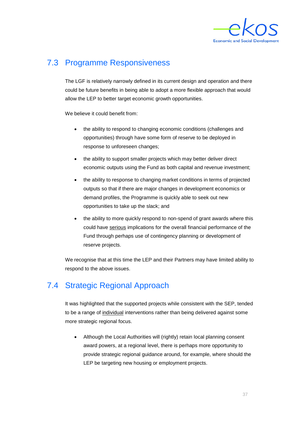

### 7.3 Programme Responsiveness

The LGF is relatively narrowly defined in its current design and operation and there could be future benefits in being able to adopt a more flexible approach that would allow the LEP to better target economic growth opportunities.

We believe it could benefit from:

- the ability to respond to changing economic conditions (challenges and opportunities) through have some form of reserve to be deployed in response to unforeseen changes;
- the ability to support smaller projects which may better deliver direct economic outputs using the Fund as both capital and revenue investment;
- the ability to response to changing market conditions in terms of projected outputs so that if there are major changes in development economics or demand profiles, the Programme is quickly able to seek out new opportunities to take up the slack; and
- the ability to more quickly respond to non-spend of grant awards where this could have serious implications for the overall financial performance of the Fund through perhaps use of contingency planning or development of reserve projects.

We recognise that at this time the LEP and their Partners may have limited ability to respond to the above issues.

## 7.4 Strategic Regional Approach

It was highlighted that the supported projects while consistent with the SEP, tended to be a range of individual interventions rather than being delivered against some more strategic regional focus.

• Although the Local Authorities will (rightly) retain local planning consent award powers, at a regional level, there is perhaps more opportunity to provide strategic regional guidance around, for example, where should the LEP be targeting new housing or employment projects.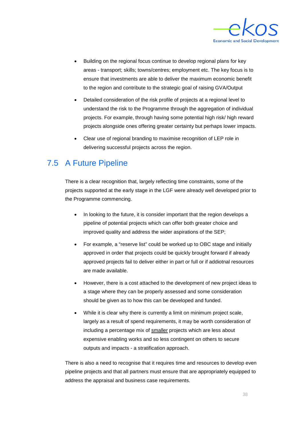

- Building on the regional focus continue to develop regional plans for key areas - transport; skills; towns/centres; employment etc. The key focus is to ensure that investments are able to deliver the maximum economic benefit to the region and contribute to the strategic goal of raising GVA/Output
- Detailed consideration of the risk profile of projects at a regional level to understand the risk to the Programme through the aggregation of individual projects. For example, through having some potential high risk/ high reward projects alongside ones offering greater certainty but perhaps lower impacts.
- Clear use of regional branding to maximise recognition of LEP role in delivering successful projects across the region.

#### 7.5 A Future Pipeline

There is a clear recognition that, largely reflecting time constraints, some of the projects supported at the early stage in the LGF were already well developed prior to the Programme commencing.

- In looking to the future, it is consider important that the region develops a pipeline of potential projects which can offer both greater choice and improved quality and address the wider aspirations of the SEP;
- For example, a "reserve list" could be worked up to OBC stage and initially approved in order that projects could be quickly brought forward if already approved projects fail to deliver either in part or full or if addiotnal resources are made available.
- However, there is a cost attached to the development of new project ideas to a stage where they can be properly assessed and some consideration should be given as to how this can be developed and funded.
- While it is clear why there is currently a limit on minimum project scale, largely as a result of spend requirements, it may be worth consideration of including a percentage mix of smaller projects which are less about expensive enabling works and so less contingent on others to secure outputs and impacts - a stratification approach.

There is also a need to recognise that it requires time and resources to develop even pipeline projects and that all partners must ensure that are appropriately equipped to address the appraisal and business case requirements.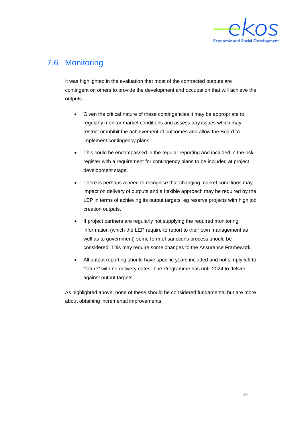

#### 7.6 Monitoring

It was highlighted in the evaluation that most of the contracted outputs are contingent on others to provide the development and occupation that will achieve the outputs.

- Given the critical nature of these contingencies it may be appropriate to regularly monitor market conditions and assess any issues which may restrict or inhibit the achievement of outcomes and allow the Board to implement contingency plans.
- This could be encompassed in the regular reporting and included in the risk register with a requirement for contingency plans to be included at project development stage.
- There is perhaps a need to recognise that changing market conditions may impact on delivery of outputs and a flexible approach may be required by the LEP in terms of achieving its output targets. eg reserve projects with high job creation outputs.
- If project partners are regularly not supplying the required monitoring information (which the LEP require to report to their own management as well as to government) some form of sanctions process should be considered. This may require some changes to the Assurance Framework.
- All output reporting should have specific years included and not simply left to "future" with no delivery dates. The Programme has until 2024 to deliver against output targets

As highlighted above, none of these should be considered fundamental but are more about obtaining incremental improvements.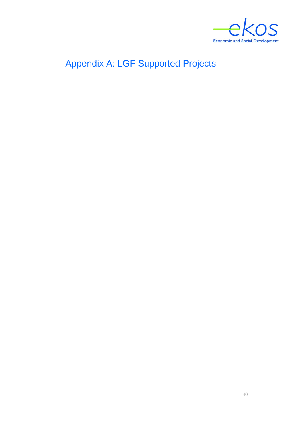

<span id="page-42-0"></span>Appendix A: LGF Supported Projects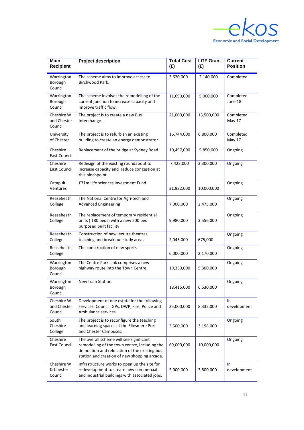

| <b>Main</b><br><b>Recipient</b>      | <b>Project description</b>                                                                                                                                                                | <b>Total Cost</b><br>(E) | <b>LGF Grant</b><br>(E) | <b>Current</b><br><b>Position</b> |
|--------------------------------------|-------------------------------------------------------------------------------------------------------------------------------------------------------------------------------------------|--------------------------|-------------------------|-----------------------------------|
| Warrington<br>Borough<br>Council     | The scheme aims to improve access to<br>Birchwood Park.                                                                                                                                   | 3,620,000                | 2,140,000               | Completed                         |
| Warrington<br>Borough<br>Council     | The scheme involves the remodelling of the<br>current junction to increase capacity and<br>improve traffic flow.                                                                          | 11,690,000               | 5,000,000               | Completed<br>June 18              |
| Cheshire W<br>and Chester<br>Council | The project is to create a new Bus<br>Interchange. .                                                                                                                                      | 21,000,000               | 13,500,000              | Completed<br>May 17               |
| University<br>of Chester             | The project is to refurbish an existing<br>building to create an energy demonstrator.                                                                                                     | 16,744,000               | 6,800,000               | Completed<br>May 17               |
| Cheshire<br>East Council             | Replacement of the bridge at Sydney Road                                                                                                                                                  | 10,497,000               | 5,850,000               | Ongoing                           |
| Cheshire<br>East Council             | Redesign of the existing roundabout to<br>increase capacity and reduce congestion at<br>this pinchpoint.                                                                                  | 7,423,000                | 3,300,000               | Ongoing                           |
| Catapult<br>Ventures                 | £31m Life sciences Investment Fund.                                                                                                                                                       | 31,982,000               | 10,000,000              | Ongoing                           |
| Reaseheath<br>College                | The National Centre for Agri-tech and<br><b>Advanced Engineering</b>                                                                                                                      | 7,000,000                | 2,475,000               | Ongoing                           |
| Reaseheath<br>College                | The replacement of temporary residential<br>units (180 beds) with a new 200 bed<br>purposed built facility                                                                                | 9,980,000                | 3,556,000               | Ongoing                           |
| Reaseheath<br>College                | Construction of new lecture theatres,<br>teaching and break out study areas                                                                                                               | 2,045,000                | 675,000                 | Ongoing                           |
| Reaseheath<br>College                | The construction of new sports                                                                                                                                                            | 6,000,000                | 2,170,000               | Ongoing                           |
| Warrington<br>Borough<br>Council     | The Centre Park Link comprises a new<br>highway route into the Town Centre,                                                                                                               | 19,350,000               | 5,300,000               | Ongoing                           |
| Warrington<br>Borough<br>Council     | New train Station.                                                                                                                                                                        | 18,415,000               | 6,530,000               | Ongoing                           |
| Cheshire W<br>and Chester<br>Council | Development of one estate for the following<br>services: Council, GPs, DWP, Fire, Police and<br>Ambulance services                                                                        | 35,000,000               | 8,332,000               | In<br>development                 |
| South<br>Cheshire<br>College         | The project is to reconfigure the teaching<br>and learning spaces at the Ellesmere Port<br>and Chester Campuses.                                                                          | 3,500,000                | 3,198,000               | Ongoing                           |
| Cheshire<br>East Council             | The overall scheme will see significant<br>remodelling of the town centre, including the<br>demolition and relocation of the existing bus<br>station and creation of new shopping arcade. | 69,000,000               | 10,000,000              | Ongoing                           |
| Cheshire W<br>& Chester<br>Council   | Infrastructure works to open up the site for<br>redevelopment to create new commercial<br>and industrial buildings with associated jobs.                                                  | 5,000,000                | 3,800,000               | <b>In</b><br>development          |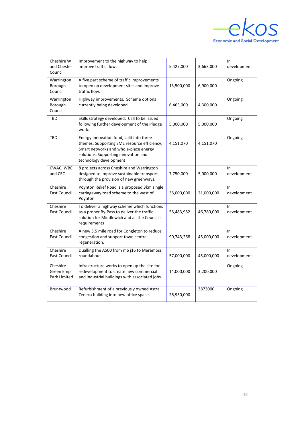

| Cheshire W<br>and Chester<br>Council   | Improvement to the highway to help<br>improve traffic flow.                                                                                                                                        | 5,427,000  | 3,663,000  | In<br>development    |
|----------------------------------------|----------------------------------------------------------------------------------------------------------------------------------------------------------------------------------------------------|------------|------------|----------------------|
| Warrington<br>Borough<br>Council       | A five part scheme of traffic improvements<br>to open up development sites and improve<br>traffic flow.                                                                                            | 13,500,000 | 6,900,000  | Ongoing              |
| Warrington<br>Borough<br>Council       | Highway improvements. Scheme options<br>currently being developed.                                                                                                                                 | 6,465,000  | 4,300,000  | Ongoing              |
| <b>TBD</b>                             | Skills strategy developed. Call to be issued<br>following further development of the Pledge<br>work.                                                                                               | 5,000,000  | 5,000,000  | Ongoing              |
| <b>TBD</b>                             | Energy Innovation fund, split into three<br>themes: Supporting SME resource efficiency,<br>Smart networks and whole-place energy<br>solutions, Supporting innovation and<br>technology development | 4,151,070  | 4,151,070  | Ongoing              |
| CWAC, WBC<br>and CEC                   | 8 projects across Cheshire and Warrington<br>designed to improve sustainable transport<br>through the provision of new greenways.                                                                  | 7,750,000  | 5,000,000  | In<br>development    |
| Cheshire<br><b>East Council</b>        | Poynton Relief Road is a proposed 3km single<br>carriageway road scheme to the west of<br>Poynton                                                                                                  | 38,000,000 | 21,000,000 | In<br>development    |
| Cheshire<br>East Council               | To deliver a highway scheme which functions<br>as a proper By-Pass to deliver the traffic<br>solution for Middlewich and all the Council's<br>requirements                                         | 58,483,982 | 46,780,000 | $\ln$<br>development |
| Cheshire<br>East Council               | A new 3.5 mile road for Congleton to reduce<br>congestion and support town centre<br>regeneration.                                                                                                 | 90,743,268 | 45,000,000 | In<br>development    |
| Cheshire<br>East Council               | Dualling the A500 from m6 j16 to Meremoss<br>roundabout                                                                                                                                            | 57,000,000 | 45,000,000 | $\ln$<br>development |
| Cheshire<br>Green Empl<br>Park Limited | Infrastructure works to open up the site for<br>redevelopment to create new commercial<br>and industrial buildings with associated jobs.                                                           | 14,000,000 | 3,200,000  | Ongoing              |
| Bruntwood                              | Refurbishment of a previously owned Astra<br>Zeneca building into new office space.                                                                                                                | 26,950,000 | 3873000    | Ongoing              |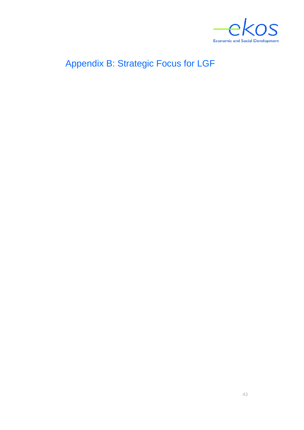

# <span id="page-45-0"></span>Appendix B: Strategic Focus for LGF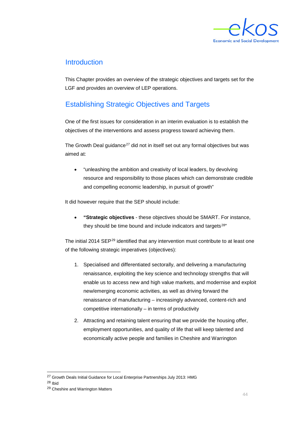

#### **Introduction**

This Chapter provides an overview of the strategic objectives and targets set for the LGF and provides an overview of LEP operations.

#### Establishing Strategic Objectives and Targets

One of the first issues for consideration in an interim evaluation is to establish the objectives of the interventions and assess progress toward achieving them.

The Growth Deal guidance<sup>[27](#page-46-0)</sup> did not in itself set out any formal objectives but was aimed at:

• "unleashing the ambition and creativity of local leaders, by devolving resource and responsibility to those places which can demonstrate credible and compelling economic leadership, in pursuit of growth"

It did however require that the SEP should include:

• **"Strategic objectives** - these objectives should be SMART. For instance, they should be time bound and include indicators and targets<sup>[28](#page-46-1)"</sup>

The initial 2014 SEP<sup>[29](#page-46-2)</sup> identified that any intervention must contribute to at least one of the following strategic imperatives (objectives):

- 1. Specialised and differentiated sectorally, and delivering a manufacturing renaissance, exploiting the key science and technology strengths that will enable us to access new and high value markets, and modernise and exploit new/emerging economic activities, as well as driving forward the renaissance of manufacturing – increasingly advanced, content-rich and competitive internationally – in terms of productivity
- 2. Attracting and retaining talent ensuring that we provide the housing offer, employment opportunities, and quality of life that will keep talented and economically active people and families in Cheshire and Warrington

<sup>&</sup>lt;sup>27</sup> Growth Deals Initial Guidance for Local Enterprise Partnerships July 2013: HMG

<span id="page-46-1"></span><span id="page-46-0"></span><sup>28</sup> Ibid

<span id="page-46-2"></span><sup>29</sup> Cheshire and Warrington Matters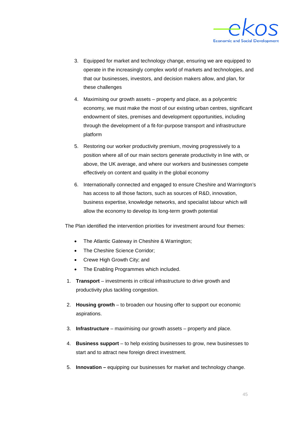

- 3. Equipped for market and technology change, ensuring we are equipped to operate in the increasingly complex world of markets and technologies, and that our businesses, investors, and decision makers allow, and plan, for these challenges
- 4. Maximising our growth assets property and place, as a polycentric economy, we must make the most of our existing urban centres, significant endowment of sites, premises and development opportunities, including through the development of a fit-for-purpose transport and infrastructure platform
- 5. Restoring our worker productivity premium, moving progressively to a position where all of our main sectors generate productivity in line with, or above, the UK average, and where our workers and businesses compete effectively on content and quality in the global economy
- 6. Internationally connected and engaged to ensure Cheshire and Warrington's has access to all those factors, such as sources of R&D, innovation, business expertise, knowledge networks, and specialist labour which will allow the economy to develop its long-term growth potential

The Plan identified the intervention priorities for investment around four themes:

- The Atlantic Gateway in Cheshire & Warrington;
- The Cheshire Science Corridor;
- Crewe High Growth City; and
- The Enabling Programmes which included.
- 1. **Transport**  investments in critical infrastructure to drive growth and productivity plus tackling congestion.
- 2. **Housing growth**  to broaden our housing offer to support our economic aspirations.
- 3. **Infrastructure**  maximising our growth assets property and place.
- 4. **Business support**  to help existing businesses to grow, new businesses to start and to attract new foreign direct investment.
- 5. **Innovation –** equipping our businesses for market and technology change.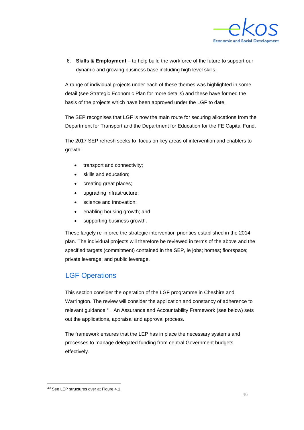

6. **Skills & Employment** – to help build the workforce of the future to support our dynamic and growing business base including high level skills.

A range of individual projects under each of these themes was highlighted in some detail (see Strategic Economic Plan for more details) and these have formed the basis of the projects which have been approved under the LGF to date.

The SEP recognises that LGF is now the main route for securing allocations from the Department for Transport and the Department for Education for the FE Capital Fund.

The 2017 SEP refresh seeks to focus on key areas of intervention and enablers to growth:

- transport and connectivity;
- skills and education;
- creating great places;
- upgrading infrastructure;
- science and innovation;
- enabling housing growth; and
- supporting business growth.

These largely re-inforce the strategic intervention priorities established in the 2014 plan. The individual projects will therefore be reviewed in terms of the above and the specified targets (commitment) contained in the SEP, ie jobs; homes; floorspace; private leverage; and public leverage.

#### LGF Operations

This section consider the operation of the LGF programme in Cheshire and Warrington. The review will consider the application and constancy of adherence to relevant guidance[30](#page-48-0). An Assurance and Accountability Framework (see below) sets out the applications, appraisal and approval process.

The framework ensures that the LEP has in place the necessary systems and processes to manage delegated funding from central Government budgets effectively.

<span id="page-48-0"></span> <sup>30</sup> See LEP structures over at Figure 4.1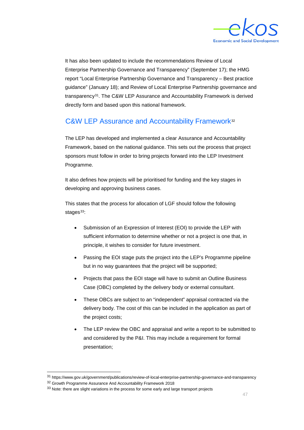

It has also been updated to include the recommendations Review of Local Enterprise Partnership Governance and Transparency" (September 17); the HMG report "Local Enterprise Partnership Governance and Transparency – Best practice guidance" (January 18); and Review of Local Enterprise Partnership governance and transparency[31](#page-49-0). The C&W LEP Assurance and Accountability Framework is derived directly form and based upon this national framework.

#### C&W LEP Assurance and Accountability Framework<sup>[32](#page-49-1)</sup>

The LEP has developed and implemented a clear Assurance and Accountability Framework, based on the national guidance. This sets out the process that project sponsors must follow in order to bring projects forward into the LEP Investment Programme.

It also defines how projects will be prioritised for funding and the key stages in developing and approving business cases.

This states that the process for allocation of LGF should follow the following stages $33$ :

- Submission of an Expression of Interest (EOI) to provide the LEP with sufficient information to determine whether or not a project is one that, in principle, it wishes to consider for future investment.
- Passing the EOI stage puts the project into the LEP's Programme pipeline but in no way guarantees that the project will be supported;
- Projects that pass the EOI stage will have to submit an Outline Business Case (OBC) completed by the delivery body or external consultant.
- These OBCs are subject to an "independent" appraisal contracted via the delivery body. The cost of this can be included in the application as part of the project costs;
- The LEP review the OBC and appraisal and write a report to be submitted to and considered by the P&I. This may include a requirement for formal presentation;

<span id="page-49-1"></span><span id="page-49-0"></span> <sup>31</sup> https://www.gov.uk/government/publications/review-of-local-enterprise-partnership-governance-and-transparency <sup>32</sup> Growth Programme Assurance And Accountability Framework 2018

<span id="page-49-2"></span><sup>&</sup>lt;sup>33</sup> Note: there are slight variations in the process for some early and large transport projects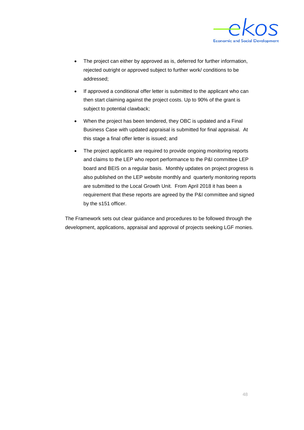

- The project can either by approved as is, deferred for further information, rejected outright or approved subject to further work/ conditions to be addressed;
- If approved a conditional offer letter is submitted to the applicant who can then start claiming against the project costs. Up to 90% of the grant is subject to potential clawback;
- When the project has been tendered, they OBC is updated and a Final Business Case with updated appraisal is submitted for final appraisal. At this stage a final offer letter is issued; and
- The project applicants are required to provide ongoing monitoring reports and claims to the LEP who report performance to the P&I committee LEP board and BEIS on a regular basis. Monthly updates on project progress is also published on the LEP website monthly and quarterly monitoring reports are submitted to the Local Growth Unit. From April 2018 it has been a requirement that these reports are agreed by the P&I committee and signed by the s151 officer.

The Framework sets out clear guidance and procedures to be followed through the development, applications, appraisal and approval of projects seeking LGF monies.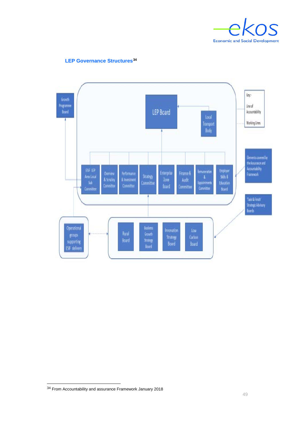



#### **LEP Governance Structures[34](#page-51-0)**

<span id="page-51-0"></span>From Accountability and assurance Framework January 2018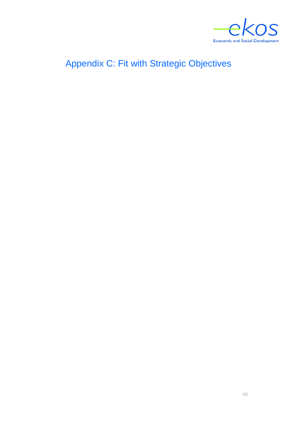

# <span id="page-52-0"></span>Appendix C: Fit with Strategic Objectives